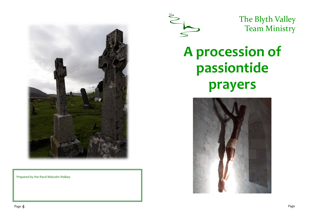

Prepared by the Revd Malcolm Walkey



The Blyth Valley Team Ministry

# **A procession of passiontide prayers**